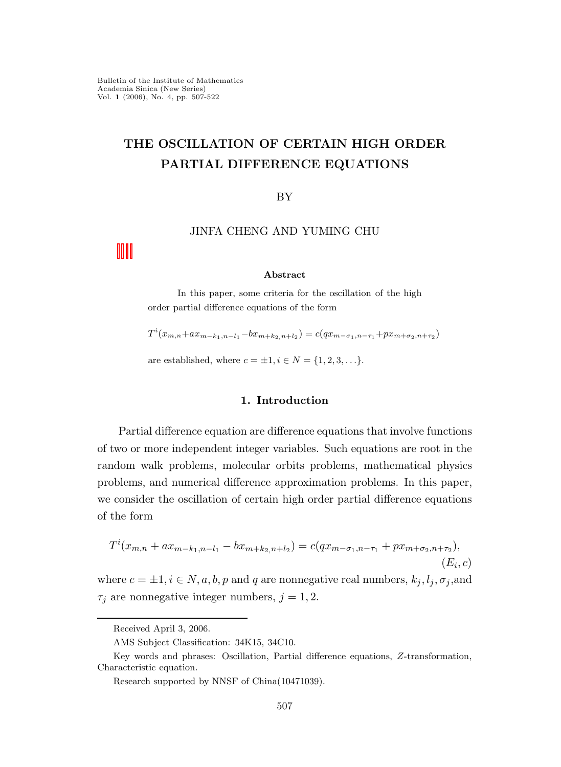# THE OSCILLATION OF CERTAIN HIGH ORDER PARTIAL DIFFERENCE EQUATIONS

BY

## JINFA CHENG AND YUMING CHU

#### Abstract

In this paper, some criteria for the oscillation of the high order partial difference equations of the form

 $T^{i}(x_{m,n}+ax_{m-k_1,n-l_1}-bx_{m+k_2,n+l_2}) = c(qx_{m-\sigma_1,n-\tau_1}+px_{m+\sigma_2,n+\tau_2})$ 

are established, where  $c = \pm 1, i \in N = \{1, 2, 3, ...\}$ .

## 1. Introduction

Partial difference equation are difference equations that involve functions of two or more independent integer variables. Such equations are root in the random walk problems, molecular orbits problems, mathematical physics problems, and numerical difference approximation problems. In this paper, we consider the oscillation of certain high order partial difference equations of the form

$$
T^{i}(x_{m,n} + ax_{m-k_1,n-l_1} - bx_{m+k_2,n+l_2}) = c(qx_{m-\sigma_1,n-\tau_1} + px_{m+\sigma_2,n+\tau_2}),
$$
  
(E<sub>i</sub>, c)

where  $c = \pm 1, i \in N, a, b, p$  and q are nonnegative real numbers,  $k_j, l_j, \sigma_j$ , and  $\tau_i$  are nonnegative integer numbers,  $j = 1, 2$ .

Received April 3, 2006.

AMS Subject Classification: 34K15, 34C10.

Key words and phrases: Oscillation, Partial difference equations, Z-transformation, Characteristic equation.

Research supported by NNSF of China(10471039).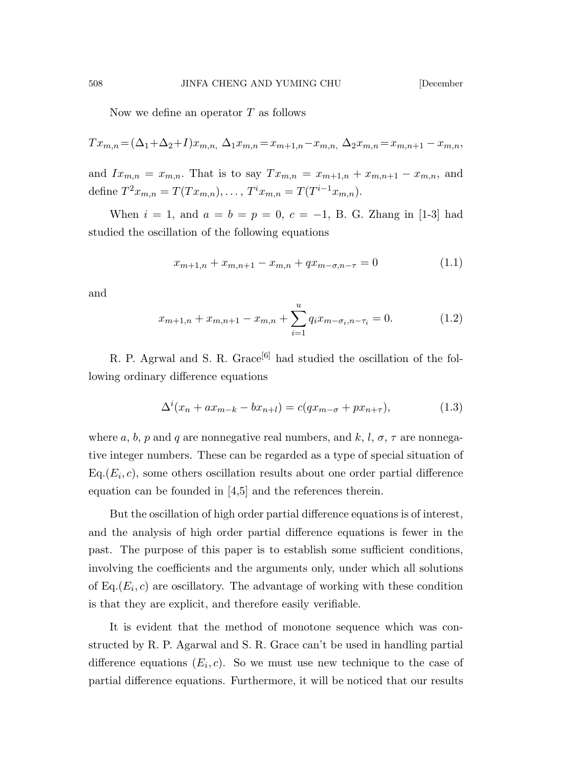Now we define an operator T as follows

$$
Tx_{m,n} = (\Delta_1 + \Delta_2 + I)x_{m,n}, \ \Delta_1 x_{m,n} = x_{m+1,n} - x_{m,n}, \ \Delta_2 x_{m,n} = x_{m,n+1} - x_{m,n},
$$

and  $Ix_{m,n} = x_{m,n}$ . That is to say  $Tx_{m,n} = x_{m+1,n} + x_{m,n+1} - x_{m,n}$ , and define  $T^2x_{m,n} = T(Tx_{m,n}), \ldots, T^i x_{m,n} = T(T^{i-1}x_{m,n}).$ 

When  $i = 1$ , and  $a = b = p = 0$ ,  $c = -1$ , B. G. Zhang in [1-3] had studied the oscillation of the following equations

$$
x_{m+1,n} + x_{m,n+1} - x_{m,n} + qx_{m-\sigma,n-\tau} = 0 \tag{1.1}
$$

and

$$
x_{m+1,n} + x_{m,n+1} - x_{m,n} + \sum_{i=1}^{u} q_i x_{m-\sigma_i, n-\tau_i} = 0.
$$
 (1.2)

R. P. Agrwal and S. R. Grace<sup>[6]</sup> had studied the oscillation of the following ordinary difference equations

$$
\Delta^{i}(x_{n} + ax_{m-k} - bx_{n+l}) = c(qx_{m-\sigma} + px_{n+\tau}),
$$
\n(1.3)

where a, b, p and q are nonnegative real numbers, and k, l,  $\sigma$ ,  $\tau$  are nonnegative integer numbers. These can be regarded as a type of special situation of  $Eq. (E<sub>i</sub>, c)$ , some others oscillation results about one order partial difference equation can be founded in [4,5] and the references therein.

But the oscillation of high order partial difference equations is of interest, and the analysis of high order partial difference equations is fewer in the past. The purpose of this paper is to establish some sufficient conditions, involving the coefficients and the arguments only, under which all solutions of  $Eq.(E_i, c)$  are oscillatory. The advantage of working with these condition is that they are explicit, and therefore easily verifiable.

It is evident that the method of monotone sequence which was constructed by R. P. Agarwal and S. R. Grace can't be used in handling partial difference equations  $(E_i, c)$ . So we must use new technique to the case of partial difference equations. Furthermore, it will be noticed that our results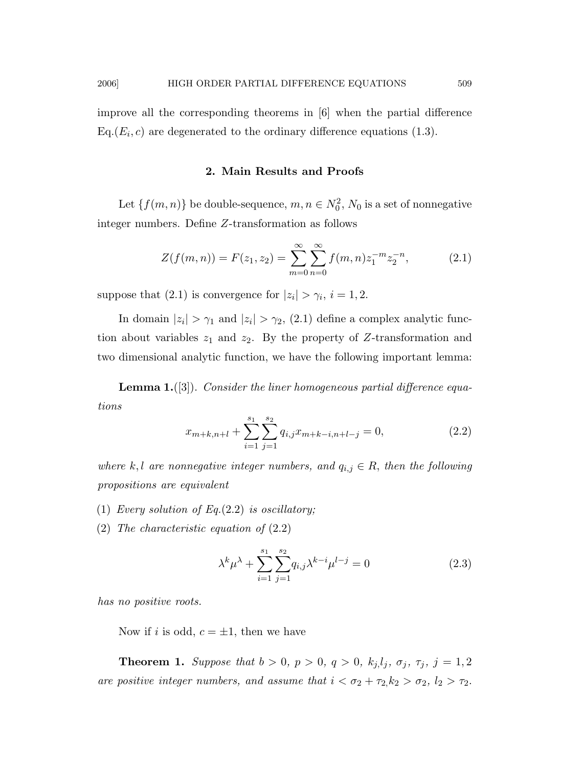improve all the corresponding theorems in [6] when the partial difference  $Eq.(E_i, c)$  are degenerated to the ordinary difference equations (1.3).

#### 2. Main Results and Proofs

Let  $\{f(m,n)\}\$  be double-sequence,  $m, n \in N_0^2$ ,  $N_0$  is a set of nonnegative integer numbers. Define Z-transformation as follows

$$
Z(f(m,n)) = F(z_1, z_2) = \sum_{m=0}^{\infty} \sum_{n=0}^{\infty} f(m,n) z_1^{-m} z_2^{-n},
$$
 (2.1)

suppose that (2.1) is convergence for  $|z_i| > \gamma_i$ ,  $i = 1, 2$ .

In domain  $|z_i| > \gamma_1$  and  $|z_i| > \gamma_2$ , (2.1) define a complex analytic function about variables  $z_1$  and  $z_2$ . By the property of Z-transformation and two dimensional analytic function, we have the following important lemma:

**Lemma 1.** ([3]). Consider the liner homogeneous partial difference equations

$$
x_{m+k,n+l} + \sum_{i=1}^{s_1} \sum_{j=1}^{s_2} q_{i,j} x_{m+k-i,n+l-j} = 0,
$$
\n(2.2)

where k, l are nonnegative integer numbers, and  $q_{i,j} \in R$ , then the following propositions are equivalent

- (1) Every solution of Eq.(2.2) is oscillatory;
- (2) The characteristic equation of (2.2)

$$
\lambda^k \mu^{\lambda} + \sum_{i=1}^{s_1} \sum_{j=1}^{s_2} q_{i,j} \lambda^{k-i} \mu^{l-j} = 0
$$
 (2.3)

has no positive roots.

Now if i is odd,  $c = \pm 1$ , then we have

**Theorem 1.** Suppose that  $b > 0$ ,  $p > 0$ ,  $q > 0$ ,  $k_j, l_j, \sigma_j, \tau_j, j = 1, 2$ are positive integer numbers, and assume that  $i < \sigma_2 + \tau_2, k_2 > \sigma_2, l_2 > \tau_2$ .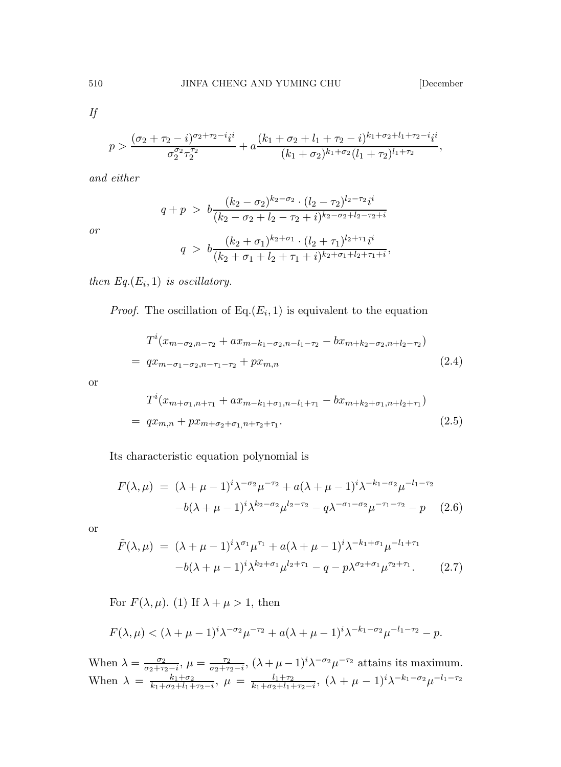If

$$
p > \frac{(\sigma_2 + \tau_2 - i)^{\sigma_2 + \tau_2 - i} i^i}{\sigma_2^{\sigma_2} \tau_2^{\tau_2}} + a \frac{(k_1 + \sigma_2 + l_1 + \tau_2 - i)^{k_1 + \sigma_2 + l_1 + \tau_2 - i} i^i}{(k_1 + \sigma_2)^{k_1 + \sigma_2} (l_1 + \tau_2)^{l_1 + \tau_2}},
$$

and either

$$
q + p > b \frac{(k_2 - \sigma_2)^{k_2 - \sigma_2} \cdot (l_2 - \tau_2)^{l_2 - \tau_2} i^i}{(k_2 - \sigma_2 + l_2 - \tau_2 + i)^{k_2 - \sigma_2 + l_2 - \tau_2 + i}}
$$

or

$$
q > b \frac{(k_2 + \sigma_1)^{k_2 + \sigma_1} \cdot (l_2 + \tau_1)^{l_2 + \tau_1} i^i}{(k_2 + \sigma_1 + l_2 + \tau_1 + i)^{k_2 + \sigma_1 + l_2 + \tau_1 + i}},
$$

then  $Eq. (E_i, 1)$  is oscillatory.

*Proof.* The oscillation of  $Eq.(E_i, 1)$  is equivalent to the equation

$$
T^{i}(x_{m-\sigma_{2},n-\tau_{2}}+ax_{m-k_{1}-\sigma_{2},n-l_{1}-\tau_{2}}-bx_{m+k_{2}-\sigma_{2},n+l_{2}-\tau_{2}})
$$
  
=  $qx_{m-\sigma_{1}-\sigma_{2},n-\tau_{1}-\tau_{2}}+px_{m,n}$  (2.4)

or

$$
T^{i}(x_{m+\sigma_{1},n+\tau_{1}}+ax_{m-k_{1}+\sigma_{1},n-l_{1}+\tau_{1}}-bx_{m+k_{2}+\sigma_{1},n+l_{2}+\tau_{1}})
$$
  
=  $qx_{m,n}+px_{m+\sigma_{2}+\sigma_{1},n+\tau_{2}+\tau_{1}}.$  (2.5)

Its characteristic equation polynomial is

$$
F(\lambda, \mu) = (\lambda + \mu - 1)^i \lambda^{-\sigma_2} \mu^{-\tau_2} + a(\lambda + \mu - 1)^i \lambda^{-k_1 - \sigma_2} \mu^{-l_1 - \tau_2} -b(\lambda + \mu - 1)^i \lambda^{k_2 - \sigma_2} \mu^{l_2 - \tau_2} - q \lambda^{-\sigma_1 - \sigma_2} \mu^{-\tau_1 - \tau_2} - p \quad (2.6)
$$

or

$$
\tilde{F}(\lambda,\mu) = (\lambda + \mu - 1)^i \lambda^{\sigma_1} \mu^{\tau_1} + a(\lambda + \mu - 1)^i \lambda^{-k_1 + \sigma_1} \mu^{-l_1 + \tau_1} \n-b(\lambda + \mu - 1)^i \lambda^{k_2 + \sigma_1} \mu^{l_2 + \tau_1} - q - p \lambda^{\sigma_2 + \sigma_1} \mu^{\tau_2 + \tau_1}.
$$
\n(2.7)

For  $F(\lambda, \mu)$ . (1) If  $\lambda + \mu > 1$ , then

$$
F(\lambda, \mu) < (\lambda + \mu - 1)^{i} \lambda^{-\sigma_2} \mu^{-\tau_2} + a(\lambda + \mu - 1)^{i} \lambda^{-k_1 - \sigma_2} \mu^{-l_1 - \tau_2} - p.
$$

When  $\lambda = \frac{\sigma_2}{\sigma_2 + \tau_2 - i}$ ,  $\mu = \frac{\tau_2}{\sigma_2 + \tau_2 - i}$ ,  $(\lambda + \mu - 1)^i \lambda^{-\sigma_2} \mu^{-\tau_2}$  attains its maximum. When  $\lambda = \frac{k_1 + \sigma_2}{k_1 + \sigma_2 + l_1 + \tau_2 - i}$ ,  $\mu = \frac{l_1 + \tau_2}{k_1 + \sigma_2 + l_1 + \tau_2 - i}$ ,  $(\lambda + \mu - 1)^i \lambda^{-k_1 - \sigma_2} \mu^{-l_1 - \tau_2}$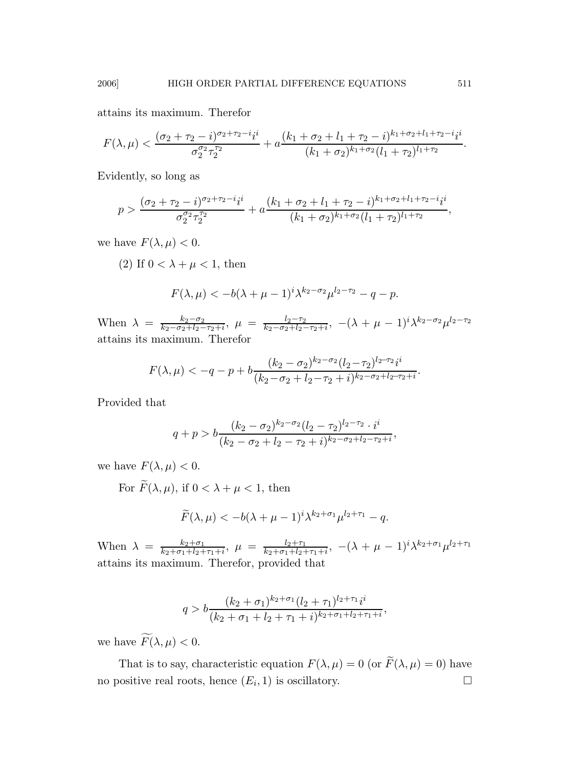attains its maximum. Therefor

$$
F(\lambda,\mu)<\frac{(\sigma_2+\tau_2-i)^{\sigma_2+\tau_2-i}i^i}{\sigma_2^{\sigma_2}\tau_2^{\tau_2}}+a\frac{(k_1+\sigma_2+l_1+\tau_2-i)^{k_1+\sigma_2+l_1+\tau_2-i}i^i}{(k_1+\sigma_2)^{k_1+\sigma_2}(l_1+\tau_2)^{l_1+\tau_2}}.
$$

Evidently, so long as

$$
p > \frac{(\sigma_2 + \tau_2 - i)^{\sigma_2 + \tau_2 - i} i^i}{\sigma_2^{\sigma_2} \tau_2^{\tau_2}} + a \frac{(k_1 + \sigma_2 + l_1 + \tau_2 - i)^{k_1 + \sigma_2 + l_1 + \tau_2 - i} i^i}{(k_1 + \sigma_2)^{k_1 + \sigma_2} (l_1 + \tau_2)^{l_1 + \tau_2}},
$$

we have  $F(\lambda, \mu) < 0$ .

(2) If 
$$
0 < \lambda + \mu < 1
$$
, then

$$
F(\lambda, \mu) < -b(\lambda + \mu - 1)^i \lambda^{k_2 - \sigma_2} \mu^{l_2 - \tau_2} - q - p.
$$

When  $\lambda = \frac{k_2 - \sigma_2}{k_2 - \sigma_2 + l_2 - \sigma_1}$  $\frac{k_2-\sigma_2}{k_2-\sigma_2+l_2-\tau_2+i},\ \mu\ =\ \frac{l_2-\tau_2}{k_2-\sigma_2+l_2-i_2}$  $\frac{l_2-\tau_2}{k_2-\sigma_2+l_2-\tau_2+i}$ ,  $-(\lambda+\mu-1)^i\lambda^{k_2-\sigma_2}\mu^{l_2-\tau_2}$ attains its maximum. Therefor

$$
F(\lambda,\mu) < -q - p + b \frac{(k_2 - \sigma_2)^{k_2 - \sigma_2} (l_2 - \tau_2)^{l_2 - \tau_2} i^i}{(k_2 - \sigma_2 + l_2 - \tau_2 + i)^{k_2 - \sigma_2 + l_2 - \tau_2 + i}}.
$$

Provided that

$$
q+p > b \frac{(k_2 - \sigma_2)^{k_2 - \sigma_2} (l_2 - \tau_2)^{l_2 - \tau_2} \cdot i^i}{(k_2 - \sigma_2 + l_2 - \tau_2 + i)^{k_2 - \sigma_2 + l_2 - \tau_2 + i}},
$$

we have  $F(\lambda, \mu) < 0$ .

For  $\widetilde{F}(\lambda,\mu)$ , if  $0 < \lambda + \mu < 1$ , then

$$
\widetilde{F}(\lambda,\mu) < -b(\lambda+\mu-1)^i \lambda^{k_2+\sigma_1} \mu^{l_2+\tau_1} - q.
$$

When  $\lambda = \frac{k_2 + \sigma_1}{k_2 + \sigma_1 + l_2 + \sigma_2}$  $\frac{k_2+\sigma_1}{k_2+\sigma_1+l_2+\tau_1+i}$ ,  $\mu = \frac{l_2+\tau_1}{k_2+\sigma_1+l_2-i_1+i_2+i_2+i_1+i_2+i_2+i_1+i_2+i_2+i_1+i_2+i_2+i_1+i_2+i_2+i_1+i_2+i_2+i_1+i_2+i_1+i_2+i_1+i_2+i_1+i_2+i_1+i_2+i_1+i_2+i_1+i_2+i_1+i_2+i_1+i_2+i_1+i_2+i_1+i_2+i_1+i_2+i_1+i_2+i_1+i_2+i_1+i_2+i_1+i_2+i_1+i_2+i_1+i_2+i_1+i_$  $\frac{l_2+\tau_1}{k_2+\sigma_1+l_2+\tau_1+i}$ ,  $-(\lambda+\mu-1)^i\lambda^{k_2+\sigma_1}\mu^{l_2+\tau_1}$ attains its maximum. Therefor, provided that

$$
q > b \frac{(k_2 + \sigma_1)^{k_2 + \sigma_1} (l_2 + \tau_1)^{l_2 + \tau_1} i^i}{(k_2 + \sigma_1 + l_2 + \tau_1 + i)^{k_2 + \sigma_1 + l_2 + \tau_1 + i}},
$$

we have  $\widetilde{F}(\lambda,\mu) < 0$ .

That is to say, characteristic equation  $F(\lambda,\mu)=0$  (or  $\widetilde{F}(\lambda,\mu)=0)$  have no positive real roots, hence  $(E_i, 1)$  is oscillatory.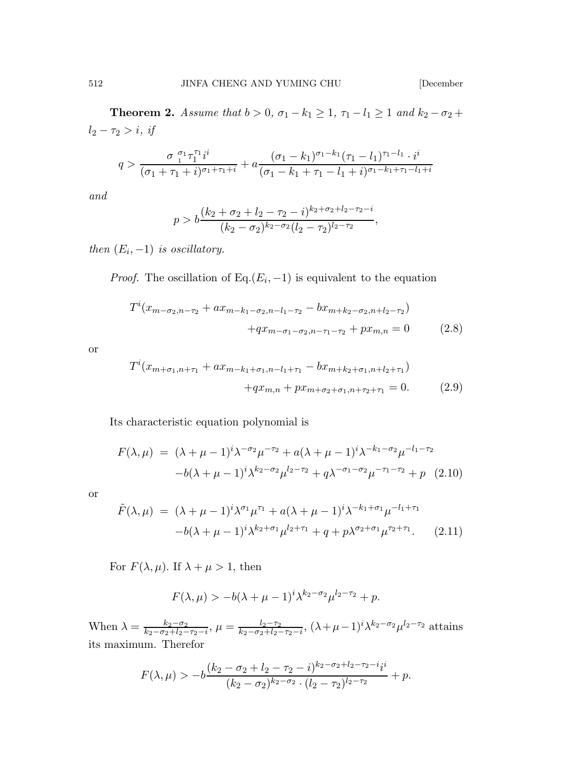**Theorem 2.** Assume that  $b > 0$ ,  $\sigma_1 - k_1 \geq 1$ ,  $\tau_1 - l_1 \geq 1$  and  $k_2 - \sigma_2 +$  $l_2 - \tau_2 > i, \text{ if }$ 

$$
q > \frac{\sigma_1^{\sigma_1} \tau_1^{\tau_1} i^i}{(\sigma_1 + \tau_1 + i)^{\sigma_1 + \tau_1 + i}} + a \frac{(\sigma_1 - k_1)^{\sigma_1 - k_1} (\tau_1 - l_1)^{\tau_1 - l_1} \cdot i^i}{(\sigma_1 - k_1 + \tau_1 - l_1 + i)^{\sigma_1 - k_1 + \tau_1 - l_1 + i}}
$$

and

$$
p > b \frac{(k_2 + \sigma_2 + l_2 - \tau_2 - i)^{k_2 + \sigma_2 + l_2 - \tau_2 - i}}{(k_2 - \sigma_2)^{k_2 - \sigma_2} (l_2 - \tau_2)^{l_2 - \tau_2}},
$$

then  $(E_i, -1)$  is oscillatory.

*Proof.* The oscillation of Eq. $(E_i, -1)$  is equivalent to the equation

$$
T^{i}(x_{m-\sigma_{2},n-\tau_{2}}+ax_{m-k_{1}-\sigma_{2},n-l_{1}-\tau_{2}}-bx_{m+k_{2}-\sigma_{2},n+l_{2}-\tau_{2}})
$$

$$
+qx_{m-\sigma_{1}-\sigma_{2},n-\tau_{1}-\tau_{2}}+px_{m,n}=0 \qquad (2.8)
$$

or

$$
T^{i}(x_{m+\sigma_{1},n+\tau_{1}}+ax_{m-k_{1}+\sigma_{1},n-l_{1}+\tau_{1}}-bx_{m+k_{2}+\sigma_{1},n+l_{2}+\tau_{1}})
$$

$$
+qx_{m,n}+px_{m+\sigma_{2}+\sigma_{1},n+\tau_{2}+\tau_{1}}=0.
$$
 (2.9)

Its characteristic equation polynomial is

$$
F(\lambda, \mu) = (\lambda + \mu - 1)^i \lambda^{-\sigma_2} \mu^{-\tau_2} + a(\lambda + \mu - 1)^i \lambda^{-k_1 - \sigma_2} \mu^{-l_1 - \tau_2}
$$

$$
-b(\lambda + \mu - 1)^i \lambda^{k_2 - \sigma_2} \mu^{l_2 - \tau_2} + q \lambda^{-\sigma_1 - \sigma_2} \mu^{-\tau_1 - \tau_2} + p \quad (2.10)
$$

or

$$
\tilde{F}(\lambda,\mu) = (\lambda + \mu - 1)^i \lambda^{\sigma_1} \mu^{\tau_1} + a(\lambda + \mu - 1)^i \lambda^{-k_1 + \sigma_1} \mu^{-l_1 + \tau_1} \n-b(\lambda + \mu - 1)^i \lambda^{k_2 + \sigma_1} \mu^{l_2 + \tau_1} + q + p \lambda^{\sigma_2 + \sigma_1} \mu^{\tau_2 + \tau_1}.
$$
\n(2.11)

For  $F(\lambda, \mu)$ . If  $\lambda + \mu > 1$ , then

$$
F(\lambda,\mu) > -b(\lambda+\mu-1)^i \lambda^{k_2-\sigma_2} \mu^{l_2-\tau_2} + p.
$$

When  $\lambda = \frac{k_2 - \sigma_2}{k_2 - \sigma_2 + k_2 - \sigma_1}$  $\frac{k_2-\sigma_2}{k_2-\sigma_2+l_2-\tau_2-i},\,\mu=\frac{l_2-\tau_2}{k_2-\sigma_2+l_2-i_1}$  $\frac{l_2-\tau_2}{k_2-\sigma_2+l_2-\tau_2-i}, (\lambda+\mu-1)^i \lambda^{k_2-\sigma_2} \mu^{l_2-\tau_2}$  attains its maximum. Therefor

$$
F(\lambda,\mu) > -b \frac{(k_2 - \sigma_2 + l_2 - \tau_2 - i)^{k_2 - \sigma_2 + l_2 - \tau_2 - i} i^i}{(k_2 - \sigma_2)^{k_2 - \sigma_2} \cdot (l_2 - \tau_2)^{l_2 - \tau_2}} + p.
$$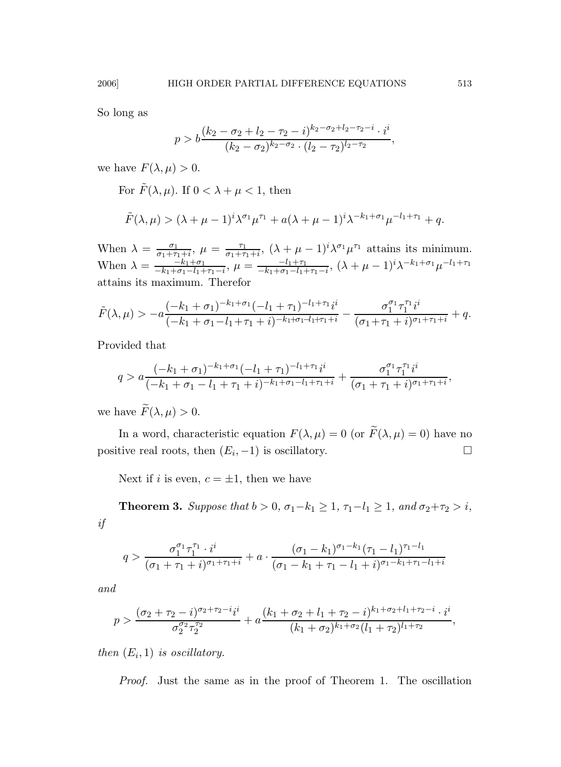So long as

$$
p > b \frac{(k_2 - \sigma_2 + l_2 - \tau_2 - i)^{k_2 - \sigma_2 + l_2 - \tau_2 - i} \cdot i^i}{(k_2 - \sigma_2)^{k_2 - \sigma_2} \cdot (l_2 - \tau_2)^{l_2 - \tau_2}},
$$

we have  $F(\lambda, \mu) > 0$ .

For  $\tilde{F}(\lambda, \mu)$ . If  $0 < \lambda + \mu < 1$ , then

$$
\tilde{F}(\lambda,\mu) > (\lambda + \mu - 1)^i \lambda^{\sigma_1} \mu^{\tau_1} + a(\lambda + \mu - 1)^i \lambda^{-k_1 + \sigma_1} \mu^{-l_1 + \tau_1} + q.
$$

When  $\lambda = \frac{\sigma_1}{\sigma_1 + \tau}$  $\frac{\sigma_1}{\sigma_1+\tau_1+i}, \ \mu = \frac{\tau_1}{\sigma_1+\tau}$  $\frac{\tau_1}{\sigma_1+\tau_1+i}$ ,  $(\lambda + \mu - 1)^i \lambda^{\sigma_1} \mu^{\tau_1}$  attains its minimum. When  $\lambda = \frac{-k_1 + \sigma_1}{-k_1 + \sigma_1 - l_1 + \sigma_1}$  $\frac{-k_1+\sigma_1}{-k_1+\sigma_1-l_1+\tau_1-i}, \ \mu = \frac{-l_1+\tau_1}{-k_1+\sigma_1-l_1+i}$  $\frac{-l_1+\tau_1}{-k_1+\sigma_1-l_1+\tau_1-i}$ ,  $(\lambda+\mu-1)^i\lambda^{-k_1+\sigma_1}\mu^{-l_1+\tau_1}$ attains its maximum. Therefor

$$
\tilde{F}(\lambda,\mu) > -a \frac{(-k_1+\sigma_1)^{-k_1+\sigma_1}(-l_1+\tau_1)^{-l_1+\tau_1}i^i}{(-k_1+\sigma_1-l_1+\tau_1+i)^{-k_1+\sigma_1-l_1+\tau_1+i}} - \frac{\sigma_1^{\sigma_1}\tau_1^{\tau_1}i^i}{(\sigma_1+\tau_1+i)^{\sigma_1+\tau_1+i}} + q.
$$

Provided that

$$
q > a \frac{(-k_1 + \sigma_1)^{-k_1 + \sigma_1} (-l_1 + \tau_1)^{-l_1 + \tau_1} i^i}{(-k_1 + \sigma_1 - l_1 + \tau_1 + i)^{-k_1 + \sigma_1 - l_1 + \tau_1 + i}} + \frac{\sigma_1^{\sigma_1} \tau_1^{\tau_1} i^i}{(\sigma_1 + \tau_1 + i)^{\sigma_1 + \tau_1 + i}},
$$

we have  $\widetilde{F}(\lambda,\mu) > 0$ .

In a word, characteristic equation  $F(\lambda,\mu)=0$  (or  $\widetilde{F}(\lambda,\mu)=0)$  have no positive real roots, then  $(E_i, -1)$  is oscillatory.

Next if i is even,  $c = \pm 1$ , then we have

**Theorem 3.** Suppose that  $b > 0$ ,  $\sigma_1 - k_1 \geq 1$ ,  $\tau_1 - l_1 \geq 1$ , and  $\sigma_2 + \tau_2 > i$ , if

$$
q > \frac{\sigma_1^{\sigma_1} \tau_1^{\tau_1} \cdot i^i}{(\sigma_1 + \tau_1 + i)^{\sigma_1 + \tau_1 + i}} + a \cdot \frac{(\sigma_1 - k_1)^{\sigma_1 - k_1} (\tau_1 - l_1)^{\tau_1 - l_1}}{(\sigma_1 - k_1 + \tau_1 - l_1 + i)^{\sigma_1 - k_1 + \tau_1 - l_1 + i}}
$$

and

$$
p > \frac{(\sigma_2 + \tau_2 - i)^{\sigma_2 + \tau_2 - i} i^i}{\sigma_2^{\sigma_2} \tau_2^{\tau_2}} + a \frac{(k_1 + \sigma_2 + l_1 + \tau_2 - i)^{k_1 + \sigma_2 + l_1 + \tau_2 - i} \cdot i^i}{(k_1 + \sigma_2)^{k_1 + \sigma_2} (l_1 + \tau_2)^{l_1 + \tau_2}},
$$

then  $(E_i, 1)$  is oscillatory.

Proof. Just the same as in the proof of Theorem 1. The oscillation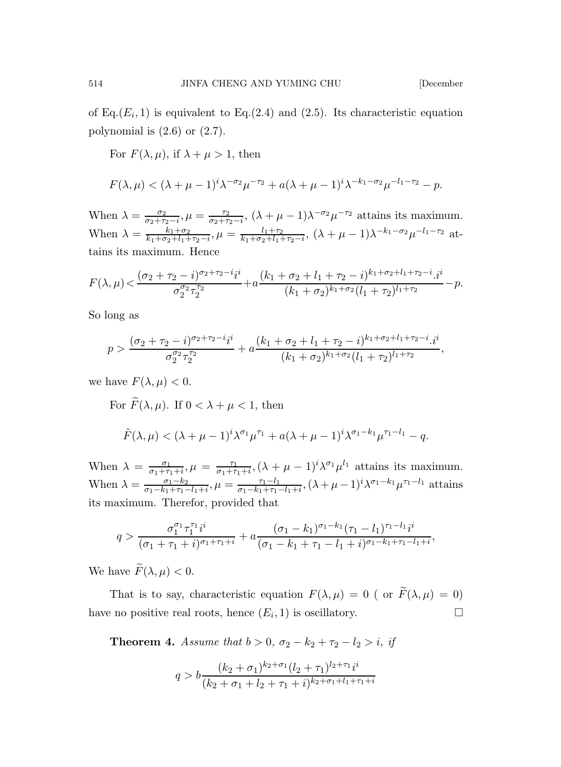of Eq. $(E_i, 1)$  is equivalent to Eq. $(2.4)$  and  $(2.5)$ . Its characteristic equation polynomial is (2.6) or (2.7).

For  $F(\lambda, \mu)$ , if  $\lambda + \mu > 1$ , then

$$
F(\lambda, \mu) < (\lambda + \mu - 1)^i \lambda^{-\sigma_2} \mu^{-\tau_2} + a(\lambda + \mu - 1)^i \lambda^{-k_1 - \sigma_2} \mu^{-l_1 - \tau_2} - p.
$$

When  $\lambda = \frac{\sigma_2}{\sigma_2 + \tau_2 - i}$ ,  $\mu = \frac{\tau_2}{\sigma_2 + \tau_2 - i}$ ,  $(\lambda + \mu - 1)\lambda^{-\sigma_2}\mu^{-\tau_2}$  attains its maximum. When  $\lambda = \frac{k_1 + \sigma_2}{k_1 + \sigma_2 + l_1 + \tau_2 - i}$ ,  $\mu = \frac{l_1 + \tau_2}{k_1 + \sigma_2 + l_1 + \tau_2 - i}$ ,  $(\lambda + \mu - 1)\lambda^{-k_1 - \sigma_2}\mu^{-l_1 - \tau_2}$  attains its maximum. Hence

$$
F(\lambda,\mu) < \frac{(\sigma_2 + \tau_2 - i)^{\sigma_2 + \tau_2 - i} i^i}{\sigma_2^{\sigma_2} \tau_2^{\tau_2}} + a \frac{(k_1 + \sigma_2 + l_1 + \tau_2 - i)^{k_1 + \sigma_2 + l_1 + \tau_2 - i} \cdot i^i}{(k_1 + \sigma_2)^{k_1 + \sigma_2} (l_1 + \tau_2)^{l_1 + \tau_2}} - p.
$$

So long as

$$
p > \frac{(\sigma_2 + \tau_2 - i)^{\sigma_2 + \tau_2 - i} i^i}{\sigma_2^{\sigma_2} \tau_2^{\tau_2}} + a \frac{(k_1 + \sigma_2 + l_1 + \tau_2 - i)^{k_1 + \sigma_2 + l_1 + \tau_2 - i} i^i}{(k_1 + \sigma_2)^{k_1 + \sigma_2} (l_1 + \tau_2)^{l_1 + \tau_2}},
$$

we have  $F(\lambda, \mu) < 0$ .

For  $\widetilde{F}(\lambda,\mu)$ . If  $0 < \lambda + \mu < 1$ , then  $\tilde{F}(\lambda,\mu) < (\lambda + \mu - 1)^i \lambda^{\sigma_1} \mu^{\tau_1} + a(\lambda + \mu - 1)^i \lambda^{\sigma_1 - k_1} \mu^{\tau_1 - l_1} - q.$ 

When  $\lambda = \frac{\sigma_1}{\sigma_1 + \tau}$  $\frac{\sigma_1}{\sigma_1+\tau_1+i}, \mu = \frac{\tau_1}{\sigma_1+\tau}$  $\frac{\tau_1}{\sigma_1+\tau_1+i}, (\lambda+\mu-1)^i \lambda^{\sigma_1} \mu^{l_1}$  attains its maximum. When  $\lambda = \frac{\sigma_1 - k_2}{\sigma_1 - k_1 + \tau_1}$  $\frac{\sigma_1 - k_2}{\sigma_1 - k_1 + \tau_1 - l_1 + i}, \mu = \frac{\tau_1 - l_1}{\sigma_1 - k_1 + \tau_1}.$  $\frac{\tau_1 - l_1}{\sigma_1 - k_1 + \tau_1 - l_1 + i}$ ,  $(\lambda + \mu - 1)^i \lambda^{\sigma_1 - k_1} \mu^{\tau_1 - l_1}$  attains its maximum. Therefor, provided that

$$
q > \frac{\sigma_1^{\sigma_1} \tau_1^{\tau_1} i^i}{(\sigma_1 + \tau_1 + i)^{\sigma_1 + \tau_1 + i}} + a \frac{(\sigma_1 - k_1)^{\sigma_1 - k_1} (\tau_1 - l_1)^{\tau_1 - l_1} i^i}{(\sigma_1 - k_1 + \tau_1 - l_1 + i)^{\sigma_1 - k_1 + \tau_1 - l_1 + i}},
$$

We have  $\widetilde{F}(\lambda,\mu) < 0$ .

That is to say, characteristic equation  $F(\lambda,\mu)\,=\,0$  ( or  $\widetilde{F}(\lambda,\mu)\,=\,0)$ have no positive real roots, hence  $(E_i, 1)$  is oscillatory.

**Theorem 4.** Assume that  $b > 0$ ,  $\sigma_2 - k_2 + \tau_2 - l_2 > i$ , if

$$
q > b \frac{(k_2 + \sigma_1)^{k_2 + \sigma_1} (l_2 + \tau_1)^{l_2 + \tau_1} i^i}{(k_2 + \sigma_1 + l_2 + \tau_1 + i)^{k_2 + \sigma_1 + l_1 + \tau_1 + i}}
$$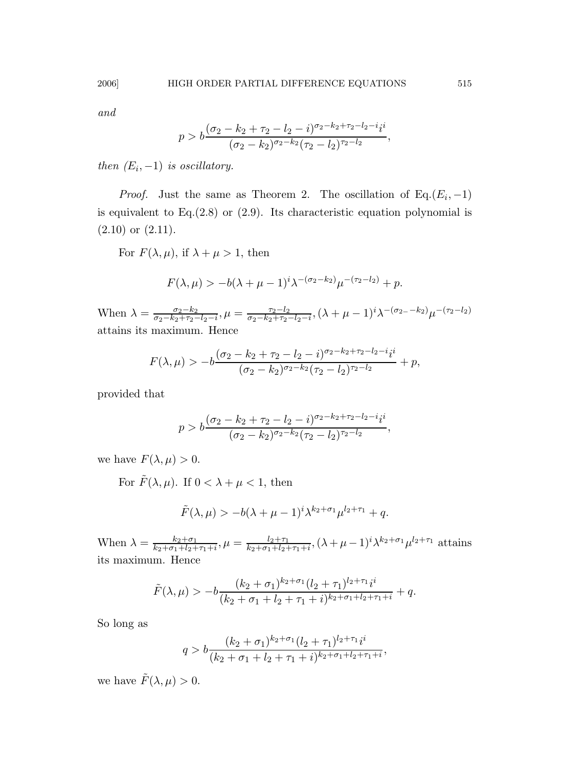and

$$
p > b \frac{(\sigma_2 - k_2 + \tau_2 - l_2 - i)^{\sigma_2 - k_2 + \tau_2 - l_2 - i} i^i}{(\sigma_2 - k_2)^{\sigma_2 - k_2} (\tau_2 - l_2)^{\tau_2 - l_2}},
$$

then  $(E_i, -1)$  is oscillatory.

*Proof.* Just the same as Theorem 2. The oscillation of  $Eq.(E_i, -1)$ is equivalent to  $Eq.(2.8)$  or  $(2.9)$ . Its characteristic equation polynomial is  $(2.10)$  or  $(2.11)$ .

For  $F(\lambda, \mu)$ , if  $\lambda + \mu > 1$ , then

$$
F(\lambda, \mu) > -b(\lambda + \mu - 1)^{i} \lambda^{-(\sigma_2 - k_2)} \mu^{-(\tau_2 - k_2)} + p.
$$

When  $\lambda = \frac{\sigma_2 - k_2}{\sigma_2 - k_2 + \tau_2}$  $\frac{\sigma_2 - k_2}{\sigma_2 - k_2 + \tau_2 - l_2 - i}$ ,  $\mu = \frac{\tau_2 - l_2}{\sigma_2 - k_2 + \tau_2 - i}$  $\frac{\tau_2 - l_2}{\sigma_2 - k_2 + \tau_2 - l_2 - i}$ ,  $(\lambda + \mu - 1)^i \lambda^{-(\sigma_2 - k_2)} \mu^{-(\tau_2 - l_2)}$ attains its maximum. Hence

$$
F(\lambda,\mu) > -b \frac{(\sigma_2 - k_2 + \tau_2 - l_2 - i)^{\sigma_2 - k_2 + \tau_2 - l_2 - i} i^i}{(\sigma_2 - k_2)^{\sigma_2 - k_2} (\tau_2 - l_2)^{\tau_2 - l_2}} + p,
$$

provided that

$$
p > b \frac{(\sigma_2 - k_2 + \tau_2 - l_2 - i)^{\sigma_2 - k_2 + \tau_2 - l_2 - i} i^i}{(\sigma_2 - k_2)^{\sigma_2 - k_2} (\tau_2 - l_2)^{\tau_2 - l_2}},
$$

we have  $F(\lambda, \mu) > 0$ .

For  $\tilde{F}(\lambda, \mu)$ . If  $0 < \lambda + \mu < 1$ , then

$$
\tilde{F}(\lambda,\mu) > -b(\lambda+\mu-1)^i \lambda^{k_2+\sigma_1} \mu^{l_2+\tau_1} + q.
$$

When  $\lambda = \frac{k_2 + \sigma_1}{k_2 + \sigma_1 + l_2 + \sigma_2}$  $\frac{k_2+\sigma_1}{k_2+\sigma_1+l_2+\tau_1+i}, \mu = \frac{l_2+\tau_1}{k_2+\sigma_1+l_2+i}$  $\frac{l_2+\tau_1}{k_2+\sigma_1+l_2+\tau_1+i}$ ,  $(\lambda+\mu-1)^i\lambda^{k_2+\sigma_1}\mu^{l_2+\tau_1}$  attains its maximum. Hence

$$
\tilde{F}(\lambda,\mu) > -b \frac{(k_2 + \sigma_1)^{k_2 + \sigma_1} (l_2 + \tau_1)^{l_2 + \tau_1} i^i}{(k_2 + \sigma_1 + l_2 + \tau_1 + i)^{k_2 + \sigma_1 + l_2 + \tau_1 + i}} + q.
$$

So long as

$$
q > b \frac{(k_2 + \sigma_1)^{k_2 + \sigma_1} (l_2 + \tau_1)^{l_2 + \tau_1} i^i}{(k_2 + \sigma_1 + l_2 + \tau_1 + i)^{k_2 + \sigma_1 + l_2 + \tau_1 + i}},
$$

we have  $\tilde{F}(\lambda,\mu) > 0$ .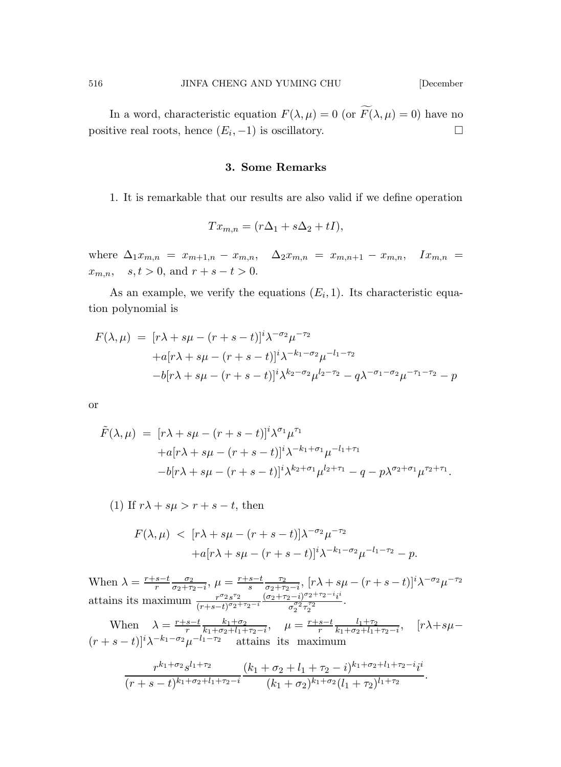In a word, characteristic equation  $F(\lambda, \mu) = 0$  (or  $\widetilde{F}(\lambda, \mu) = 0$ ) have no positive real roots, hence  $(E_i, -1)$  is oscillatory.

### 3. Some Remarks

1. It is remarkable that our results are also valid if we define operation

$$
Tx_{m,n} = (r\Delta_1 + s\Delta_2 + tI),
$$

where  $\Delta_1 x_{m,n} = x_{m+1,n} - x_{m,n}$ ,  $\Delta_2 x_{m,n} = x_{m,n+1} - x_{m,n}$ ,  $Ix_{m,n} =$  $x_{m,n}$ ,  $s, t > 0$ , and  $r + s - t > 0$ .

As an example, we verify the equations  $(E_i, 1)$ . Its characteristic equation polynomial is

$$
F(\lambda, \mu) = [r\lambda + s\mu - (r + s - t)]^i \lambda^{-\sigma_2} \mu^{-\tau_2} + a[r\lambda + s\mu - (r + s - t)]^i \lambda^{-k_1 - \sigma_2} \mu^{-l_1 - \tau_2} - b[r\lambda + s\mu - (r + s - t)]^i \lambda^{k_2 - \sigma_2} \mu^{l_2 - \tau_2} - q\lambda^{-\sigma_1 - \sigma_2} \mu^{-\tau_1 - \tau_2} - p
$$

or

$$
\tilde{F}(\lambda,\mu) = [r\lambda + s\mu - (r+s-t)]^i \lambda^{\sigma_1} \mu^{\tau_1} \n+ a[r\lambda + s\mu - (r+s-t)]^i \lambda^{-k_1 + \sigma_1} \mu^{-l_1 + \tau_1} \n- b[r\lambda + s\mu - (r+s-t)]^i \lambda^{k_2 + \sigma_1} \mu^{l_2 + \tau_1} - q - p\lambda^{\sigma_2 + \sigma_1} \mu^{\tau_2 + \tau_1}.
$$

(1) If 
$$
r\lambda + s\mu > r + s - t
$$
, then

$$
F(\lambda, \mu) < [r\lambda + s\mu - (r+s-t)]\lambda^{-\sigma_2} \mu^{-\tau_2} \n+ a[r\lambda + s\mu - (r+s-t)]^i \lambda^{-k_1 - \sigma_2} \mu^{-l_1 - \tau_2} - p.
$$

When  $\lambda = \frac{r+s-t}{r} \frac{\sigma_2}{\sigma_2 + \tau_2 - i}$ ,  $\mu = \frac{r+s-t}{s} \frac{\tau_2}{\sigma_2 + \tau_2 - i}$ ,  $[r\lambda + s\mu - (r+s-t)]^i \lambda^{-\sigma_2} \mu^{-\tau_2}$ attains its maximum  $\frac{r^{\sigma_2} s^{\tau_2}}{(r+s-t)^{\sigma_2}}$  $\frac{r^{\sigma_2} s^{\tau_2}}{(r+s-t)^{\sigma_2+\tau_2-i}} \frac{(\sigma_2+\tau_2-i)^{\sigma_2+\tau_2-i} i^i}{\sigma_2^{\sigma_2} \tau_2^{\tau_2}}$  $\frac{\sigma_2^{\sigma_2} \tau_2^{\tau_2}}{\sigma_2^{\sigma_2} \tau_2^{\tau_2}}$ .

When  $\lambda = \frac{r+s-t}{r} \frac{k_1+\sigma_2}{k_1+\sigma_2+l_1+\tau_2-i}$ ,  $\mu = \frac{r+s-t}{r} \frac{l_1+\tau_2}{k_1+\sigma_2+l_1+\tau_2-i}$ ,  $[r\lambda+s\mu-t]$  $(r+s-t)]^i\lambda^{-k_1-\sigma_2}\mu^{-l_1-\tau_2}$  attains its maximum

$$
\frac{r^{k_1+\sigma_2} s^{l_1+\tau_2}}{(r+s-t)^{k_1+\sigma_2+l_1+\tau_2-i}} \frac{(k_1+\sigma_2+l_1+\tau_2-i)^{k_1+\sigma_2+l_1+\tau_2-i} i^i}{(k_1+\sigma_2)^{k_1+\sigma_2}(l_1+\tau_2)^{l_1+\tau_2}}.
$$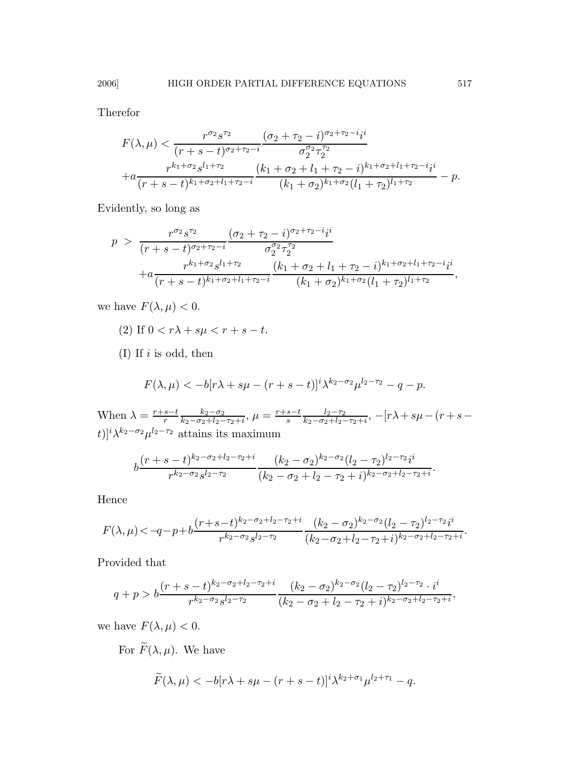Therefor

$$
F(\lambda,\mu) < \frac{r^{\sigma_2} s^{\tau_2}}{(r+s-t)^{\sigma_2+\tau_2-i}} \frac{(\sigma_2+\tau_2-i)^{\sigma_2+\tau_2-i} i^i}{\sigma_2^{\sigma_2} \tau_2^{\tau_2}} + a \frac{r^{k_1+\sigma_2} s^{l_1+\tau_2}}{(r+s-t)^{k_1+\sigma_2+l_1+\tau_2-i}} \frac{(k_1+\sigma_2+l_1+\tau_2-i)^{k_1+\sigma_2+l_1+\tau_2-i} i^i}{(k_1+\sigma_2)^{k_1+\sigma_2} (l_1+\tau_2)^{l_1+\tau_2}} - p.
$$

Evidently, so long as

$$
p > \frac{r^{\sigma_2} s^{\tau_2}}{(r+s-t)^{\sigma_2+\tau_2-i}} \frac{(\sigma_2+\tau_2-i)^{\sigma_2+\tau_2-i} i^i}{\sigma_2^{\sigma_2} \tau_2^{\tau_2}} + a \frac{r^{k_1+\sigma_2} s^{l_1+\tau_2}}{(r+s-t)^{k_1+\sigma_2+l_1+\tau_2-i}} \frac{(k_1+\sigma_2+l_1+\tau_2-i)^{k_1+\sigma_2+l_1+\tau_2-i} i^i}{(k_1+\sigma_2)^{k_1+\sigma_2} (l_1+\tau_2)^{l_1+\tau_2}},
$$

we have  $F(\lambda, \mu) < 0$ .

- (2) If  $0 < r\lambda + s\mu < r + s t$ .
- (I) If  $i$  is odd, then

$$
F(\lambda, \mu) < -b[r\lambda + s\mu - (r + s - t)]^{i} \lambda^{k_2 - \sigma_2} \mu^{l_2 - \tau_2} - q - p.
$$

When  $\lambda = \frac{r+s-t}{r} \frac{k_2 - \sigma_2}{k_2 - \sigma_2 + l_2 - l_1}$  $\frac{k_2-\sigma_2}{k_2-\sigma_2+l_2-\tau_2+i}, \, \mu = \frac{r+s-t}{s} \frac{l_2-\tau_2}{k_2-\sigma_2+l_2-i_2}$  $\frac{\iota_2 - \tau_2}{k_2 - \sigma_2 + l_2 - \tau_2 + i}$ ,  $-[r\lambda + s\mu - (r + s$ t)]<sup>*i*</sup> $\lambda^{k_2-\sigma_2}\mu^{l_2-\tau_2}$  attains its maximum

$$
b\frac{(r+s-t)^{k_2-\sigma_2+l_2-\tau_2+i}}{r^{k_2-\sigma_2} s^{l_2-\tau_2}}\frac{(k_2-\sigma_2)^{k_2-\sigma_2}(l_2-\tau_2)^{l_2-\tau_2}i^i}{(k_2-\sigma_2+l_2-\tau_2+i)^{k_2-\sigma_2+l_2-\tau_2+i}}.
$$

Hence

$$
F(\lambda,\mu) < -q-p+b \frac{(r+s-t)^{k_2-\sigma_2+l_2-\tau_2+i}}{r^{k_2-\sigma_2} s^{l_2-\tau_2}} \frac{(k_2-\sigma_2)^{k_2-\sigma_2} (l_2-\tau_2)^{l_2-\tau_2} i^i}{(k_2-\sigma_2+l_2-\tau_2+i)^{k_2-\sigma_2+l_2-\tau_2+i}}.
$$

Provided that

$$
q+p > b \frac{(r+s-t)^{k_2-\sigma_2+l_2-\tau_2+i}}{r^{k_2-\sigma_2} s^{l_2-\tau_2}} \frac{(k_2-\sigma_2)^{k_2-\sigma_2}(l_2-\tau_2)^{l_2-\tau_2} \cdot i^i}{(k_2-\sigma_2+l_2-\tau_2+i)^{k_2-\sigma_2+l_2-\tau_2+i}},
$$

we have  $F(\lambda, \mu) < 0$ .

For  $\widetilde{F}(\lambda,\mu)$ . We have

$$
\widetilde{F}(\lambda,\mu) < -b[r\lambda + s\mu - (r+s-t)]^i \lambda^{k_2 + \sigma_1} \mu^{l_2 + \tau_1} - q.
$$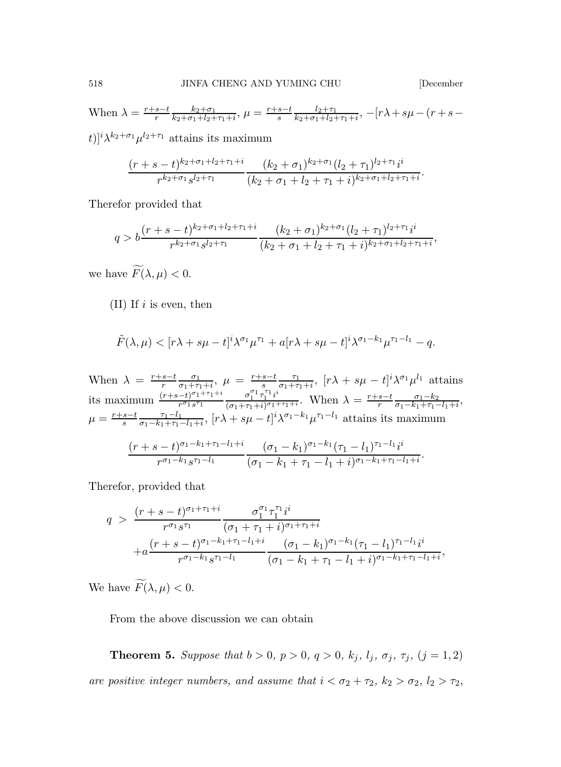When 
$$
\lambda = \frac{r+s-t}{r} \frac{k_2+\sigma_1}{k_2+\sigma_1+l_2+\tau_1+i}
$$
,  $\mu = \frac{r+s-t}{s} \frac{l_2+\tau_1}{k_2+\sigma_1+l_2+\tau_1+i}$ ,  $-[r\lambda + s\mu - (r+s-t)]i_1k_2+\sigma_1 \ldots i_{2r+1}$  attains its maximum

 $|t|$ <sup>'</sup> $\lambda$ '  $\mu^2$  $\mathrm{^{\prime+}}$  attains its maximum

$$
\frac{(r+s-t)^{k_2+\sigma_1+l_2+\tau_1+i}}{r^{k_2+\sigma_1} s^{l_2+\tau_1}} \frac{(k_2+\sigma_1)^{k_2+\sigma_1} (l_2+\tau_1)^{l_2+\tau_1} i^i}{(k_2+\sigma_1+l_2+\tau_1+i)^{k_2+\sigma_1+l_2+\tau_1+i}}.
$$

Therefor provided that

$$
q > b \frac{(r+s-t)^{k_2+\sigma_1+l_2+\tau_1+i}}{r^{k_2+\sigma_1} s^{l_2+\tau_1}} \frac{(k_2+\sigma_1)^{k_2+\sigma_1} (l_2+\tau_1)^{l_2+\tau_1} i}{(k_2+\sigma_1+l_2+\tau_1+i)^{k_2+\sigma_1+l_2+\tau_1+i}},
$$

we have  $\widetilde{F}(\lambda, \mu) < 0$ .

 $(II)$  If i is even, then

$$
\tilde{F}(\lambda,\mu) < [r\lambda + s\mu - t]^i \lambda^{\sigma_1} \mu^{\tau_1} + a[r\lambda + s\mu - t]^i \lambda^{\sigma_1 - k_1} \mu^{\tau_1 - l_1} - q.
$$

When  $\lambda = \frac{r+s-t}{r} \frac{\sigma_1}{\sigma_1 + \tau}$  $\frac{\sigma_1}{\sigma_1+\tau_1+i},\ \mu\ =\ \frac{r+s-t}{s}\frac{\tau_1}{\sigma_1+\tau}$  $\frac{\tau_1}{\sigma_1+\tau_1+i}$ ,  $[r\lambda+s\mu-t]^i\lambda^{\sigma_1}\mu^{l_1}$  attains its maximum  $\frac{(r+s-t)^{\sigma_1+\tau_1+i}}{r^{\sigma_1}s^{\tau_1}}$  $r^{\sigma_1}s^{\tau_1}$  $\sigma_1^{\sigma_1} \tau_1^{\tau_1} i^i$  $\frac{\sigma_1^{o_1} \tau_1^{r_1} i^i}{(\sigma_1 + \tau_1 + i)^{\sigma_1 + \tau_1 + i}}$ . When  $\lambda = \frac{r+s-t}{r} \frac{\sigma_1 - k_2}{\sigma_1 - k_1 + \tau_1 - i}$  $\frac{\sigma_1 - \kappa_2}{\sigma_1 - k_1 + \tau_1 - l_1 + i},$  $\mu = \frac{r+s-t}{s} \frac{\tau_1 - l_1}{\sigma_1 - k_1 + \tau_1}$  $\frac{\tau_1 - l_1}{\sigma_1 - k_1 + \tau_1 - l_1 + i}$ ,  $[r\lambda + s\mu - t]^i \lambda^{\sigma_1 - k_1} \mu^{\tau_1 - l_1}$  attains its maximum  $(r + s - t)^{\sigma_1 - k_1 + \tau_1 - l_1 + i}$  $r^{\sigma_1-k_1}s^{\tau_1-l_1}$  $(\sigma_1 - k_1)^{\sigma_1 - k_1} (\tau_1 - l_1)^{\tau_1 - l_1} i^i$  $\frac{(6+1)(n+1)}{(6+1)(n+1)(n+1)}$ 

Therefor, provided that

$$
q > \frac{(r+s-t)^{\sigma_1+\tau_1+i}}{r^{\sigma_1} s^{\tau_1}} \frac{\sigma_1^{\sigma_1} \tau_1^{\tau_1} i^i}{(\sigma_1+\tau_1+i)^{\sigma_1+\tau_1+i}} + a \frac{(r+s-t)^{\sigma_1-k_1+\tau_1-l_1+i}}{r^{\sigma_1-k_1} s^{\tau_1-l_1}} \frac{(\sigma_1-k_1)^{\sigma_1-k_1} (\tau_1-l_1)^{\tau_1-l_1} i^i}{(\sigma_1-k_1+\tau_1-l_1+i)^{\sigma_1-k_1+\tau_1-l_1+i}},
$$

We have  $\widetilde{F}(\lambda,\mu) < 0$ .

From the above discussion we can obtain

**Theorem 5.** Suppose that  $b > 0$ ,  $p > 0$ ,  $q > 0$ ,  $k_j$ ,  $l_j$ ,  $\sigma_j$ ,  $\tau_j$ ,  $(j = 1, 2)$ are positive integer numbers, and assume that  $i < \sigma_2 + \tau_2$ ,  $k_2 > \sigma_2$ ,  $l_2 > \tau_2$ ,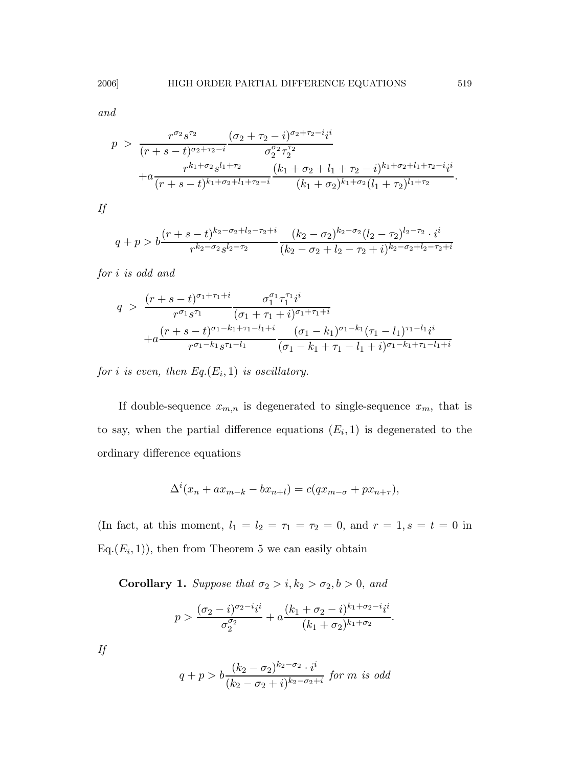and

$$
p > \frac{r^{\sigma_2} s^{\tau_2}}{(r+s-t)^{\sigma_2+\tau_2-i}} \frac{(\sigma_2+\tau_2-i)^{\sigma_2+\tau_2-i} i^i}{\sigma_2^{\sigma_2} \tau_2^{\tau_2}} + a \frac{r^{k_1+\sigma_2} s^{l_1+\tau_2}}{(r+s-t)^{k_1+\sigma_2+l_1+\tau_2-i}} \frac{(k_1+\sigma_2+l_1+\tau_2-i)^{k_1+\sigma_2+l_1+\tau_2-i} i^i}{(k_1+\sigma_2)^{k_1+\sigma_2} (l_1+\tau_2)^{l_1+\tau_2}}.
$$

If

$$
q+p > b \frac{(r+s-t)^{k_2-\sigma_2+l_2-\tau_2+i}}{r^{k_2-\sigma_2} s^{l_2-\tau_2}} \frac{(k_2-\sigma_2)^{k_2-\sigma_2}(l_2-\tau_2)^{l_2-\tau_2} \cdot i^i}{(k_2-\sigma_2+l_2-\tau_2+i)^{k_2-\sigma_2+l_2-\tau_2+i}}
$$

for i is odd and

$$
q > \frac{(r+s-t)^{\sigma_1+\tau_1+i}}{r^{\sigma_1} s^{\tau_1}} \frac{\sigma_1^{\sigma_1} \tau_1^{\tau_1} i^i}{(\sigma_1 + \tau_1 + i)^{\sigma_1+\tau_1+i}} + a \frac{(r+s-t)^{\sigma_1-k_1+\tau_1-l_1+i}}{r^{\sigma_1-k_1} s^{\tau_1-l_1}} \frac{(\sigma_1 - k_1)^{\sigma_1-k_1} (\tau_1 - l_1)^{\tau_1-l_1} i^i}{(\sigma_1 - k_1 + \tau_1 - l_1 + i)^{\sigma_1-k_1+\tau_1-l_1+i}}
$$

for i is even, then  $Eq.(E_i, 1)$  is oscillatory.

If double-sequence  $x_{m,n}$  is degenerated to single-sequence  $x_m$ , that is to say, when the partial difference equations  $(E_i, 1)$  is degenerated to the ordinary difference equations

$$
\Delta^{i}(x_n + ax_{m-k} - bx_{n+l}) = c(qx_{m-\sigma} + px_{n+\tau}),
$$

(In fact, at this moment,  $l_1 = l_2 = \tau_1 = \tau_2 = 0$ , and  $r = 1, s = t = 0$  in  $Eq.(E<sub>i</sub>, 1))$ , then from Theorem 5 we can easily obtain

Corollary 1. Suppose that  $\sigma_2 > i, k_2 > \sigma_2, b > 0$ , and

$$
p > \frac{(\sigma_2 - i)^{\sigma_2 - i} i^i}{\sigma_2^{\sigma_2}} + a \frac{(k_1 + \sigma_2 - i)^{k_1 + \sigma_2 - i} i^i}{(k_1 + \sigma_2)^{k_1 + \sigma_2}}.
$$

If

$$
q + p > b \frac{(k_2 - \sigma_2)^{k_2 - \sigma_2} \cdot i^i}{(k_2 - \sigma_2 + i)^{k_2 - \sigma_2 + i}} \text{ for } m \text{ is odd}
$$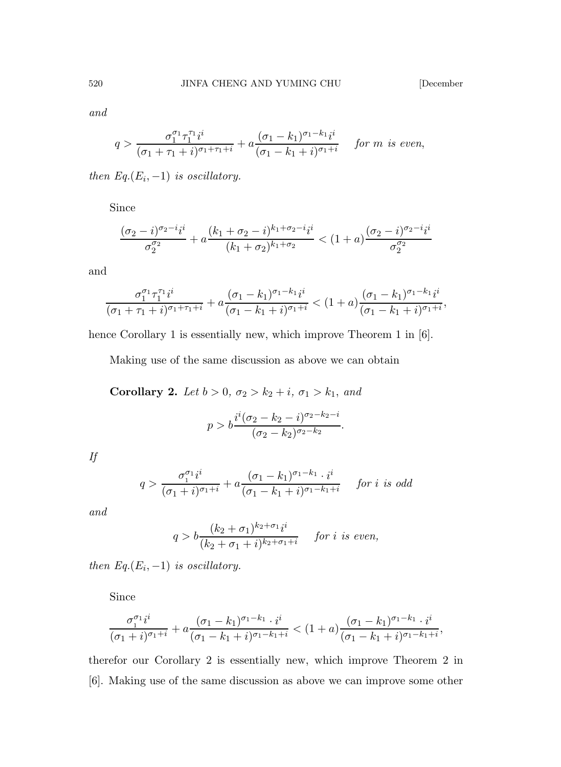and

$$
q > \frac{\sigma_1^{\sigma_1} \tau_1^{\tau_1} i^i}{(\sigma_1 + \tau_1 + i)^{\sigma_1 + \tau_1 + i}} + a \frac{(\sigma_1 - k_1)^{\sigma_1 - k_1} i^i}{(\sigma_1 - k_1 + i)^{\sigma_1 + i}} \quad \text{for } m \text{ is even},
$$

then  $Eq.(E_i, -1)$  is oscillatory.

Since

$$
\frac{(\sigma_2 - i)^{\sigma_2 - i}i^i}{\sigma_2^{\sigma_2}} + a \frac{(k_1 + \sigma_2 - i)^{k_1 + \sigma_2 - i}i^i}{(k_1 + \sigma_2)^{k_1 + \sigma_2}} < (1 + a) \frac{(\sigma_2 - i)^{\sigma_2 - i}i^i}{\sigma_2^{\sigma_2}}
$$

and

$$
\frac{\sigma_1^{\sigma_1}\tau_1^{\tau_1}i^i}{(\sigma_1+\tau_1+i)^{\sigma_1+\tau_1+i}} + a\frac{(\sigma_1-k_1)^{\sigma_1-k_1}i^i}{(\sigma_1-k_1+i)^{\sigma_1+i}} < (1+a)\frac{(\sigma_1-k_1)^{\sigma_1-k_1}i^i}{(\sigma_1-k_1+i)^{\sigma_1+i}},
$$

hence Corollary 1 is essentially new, which improve Theorem 1 in [6].

Making use of the same discussion as above we can obtain

Corollary 2. Let  $b > 0$ ,  $\sigma_2 > k_2 + i$ ,  $\sigma_1 > k_1$ , and

$$
p > b \frac{i^{i} (\sigma_2 - k_2 - i)^{\sigma_2 - k_2 - i}}{(\sigma_2 - k_2)^{\sigma_2 - k_2}}.
$$

If

$$
q > \frac{\sigma_1^{\sigma_1} i^i}{(\sigma_1 + i)^{\sigma_1 + i}} + a \frac{(\sigma_1 - k_1)^{\sigma_1 - k_1} \cdot i^i}{(\sigma_1 - k_1 + i)^{\sigma_1 - k_1 + i}} \quad \text{for } i \text{ is odd}
$$

and

$$
q > b \frac{(k_2 + \sigma_1)^{k_2 + \sigma_1} i^i}{(k_2 + \sigma_1 + i)^{k_2 + \sigma_1 + i}} \quad \text{for } i \text{ is even,}
$$

then  $Eq.(E_i, -1)$  is oscillatory.

Since

$$
\frac{\sigma_1^{\sigma_1}i^i}{(\sigma_1+i)^{\sigma_1+i}} + a \frac{(\sigma_1 - k_1)^{\sigma_1 - k_1} \cdot i^i}{(\sigma_1 - k_1 + i)^{\sigma_1 - k_1 + i}} < (1+a) \frac{(\sigma_1 - k_1)^{\sigma_1 - k_1} \cdot i^i}{(\sigma_1 - k_1 + i)^{\sigma_1 - k_1 + i}},
$$

therefor our Corollary 2 is essentially new, which improve Theorem 2 in [6]. Making use of the same discussion as above we can improve some other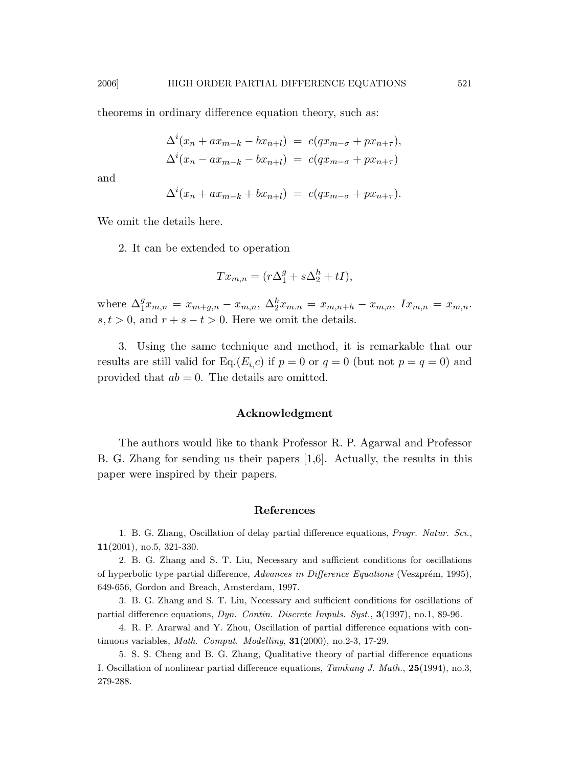theorems in ordinary difference equation theory, such as:

$$
\Delta^{i}(x_{n} + ax_{m-k} - bx_{n+l}) = c(qx_{m-\sigma} + px_{n+\tau}),
$$
  

$$
\Delta^{i}(x_{n} - ax_{m-k} - bx_{n+l}) = c(qx_{m-\sigma} + px_{n+\tau})
$$

and

$$
\Delta^i(x_n + ax_{m-k} + bx_{n+l}) = c(qx_{m-\sigma} + px_{n+\tau}).
$$

We omit the details here.

2. It can be extended to operation

$$
Tx_{m,n} = (r\Delta_1^g + s\Delta_2^h + tI),
$$

where  $\Delta_1^g x_{m,n} = x_{m+g,n} - x_{m,n}, \ \Delta_2^h x_{m,n} = x_{m,n+h} - x_{m,n}, \ I x_{m,n} = x_{m,n}.$  $s, t > 0$ , and  $r + s - t > 0$ . Here we omit the details.

3. Using the same technique and method, it is remarkable that our results are still valid for Eq.(E<sub>i,C</sub>) if  $p = 0$  or  $q = 0$  (but not  $p = q = 0$ ) and provided that  $ab = 0$ . The details are omitted.

#### Acknowledgment

The authors would like to thank Professor R. P. Agarwal and Professor B. G. Zhang for sending us their papers [1,6]. Actually, the results in this paper were inspired by their papers.

#### References

1. B. G. Zhang, Oscillation of delay partial difference equations, Progr. Natur. Sci., 11(2001), no.5, 321-330.

2. B. G. Zhang and S. T. Liu, Necessary and sufficient conditions for oscillations of hyperbolic type partial difference, Advances in Difference Equations (Veszprém, 1995), 649-656, Gordon and Breach, Amsterdam, 1997.

3. B. G. Zhang and S. T. Liu, Necessary and sufficient conditions for oscillations of partial difference equations, Dyn. Contin. Discrete Impuls. Syst., 3(1997), no.1, 89-96.

4. R. P. Ararwal and Y. Zhou, Oscillation of partial difference equations with continuous variables, Math. Comput. Modelling, 31(2000), no.2-3, 17-29.

5. S. S. Cheng and B. G. Zhang, Qualitative theory of partial difference equations I. Oscillation of nonlinear partial difference equations, Tamkang J. Math., 25(1994), no.3, 279-288.